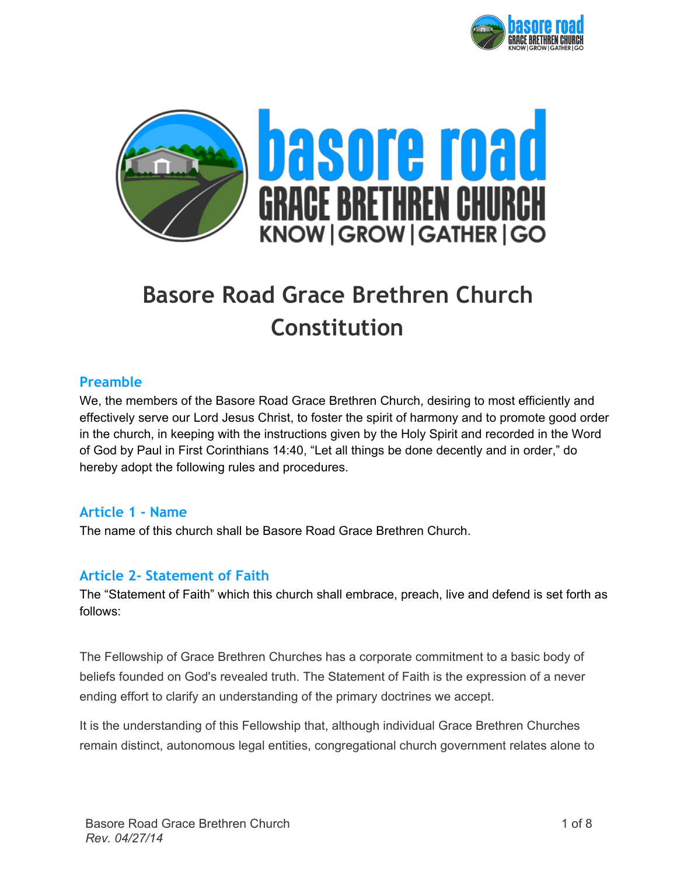



# **Basore Road Grace Brethren Church Constitution**

## **Preamble**

We, the members of the Basore Road Grace Brethren Church, desiring to most efficiently and effectively serve our Lord Jesus Christ, to foster the spirit of harmony and to promote good order in the church, in keeping with the instructions given by the Holy Spirit and recorded in the Word of God by Paul in First Corinthians 14:40, "Let all things be done decently and in order," do hereby adopt the following rules and procedures.

## **Article 1 - Name**

The name of this church shall be Basore Road Grace Brethren Church.

## **Article 2- Statement of Faith**

The "Statement of Faith" which this church shall embrace, preach, live and defend is set forth as follows:

The Fellowship of Grace Brethren Churches has a corporate commitment to a basic body of beliefs founded on God's revealed truth. The Statement of Faith is the expression of a never ending effort to clarify an understanding of the primary doctrines we accept.

It is the understanding of this Fellowship that, although individual Grace Brethren Churches remain distinct, autonomous legal entities, congregational church government relates alone to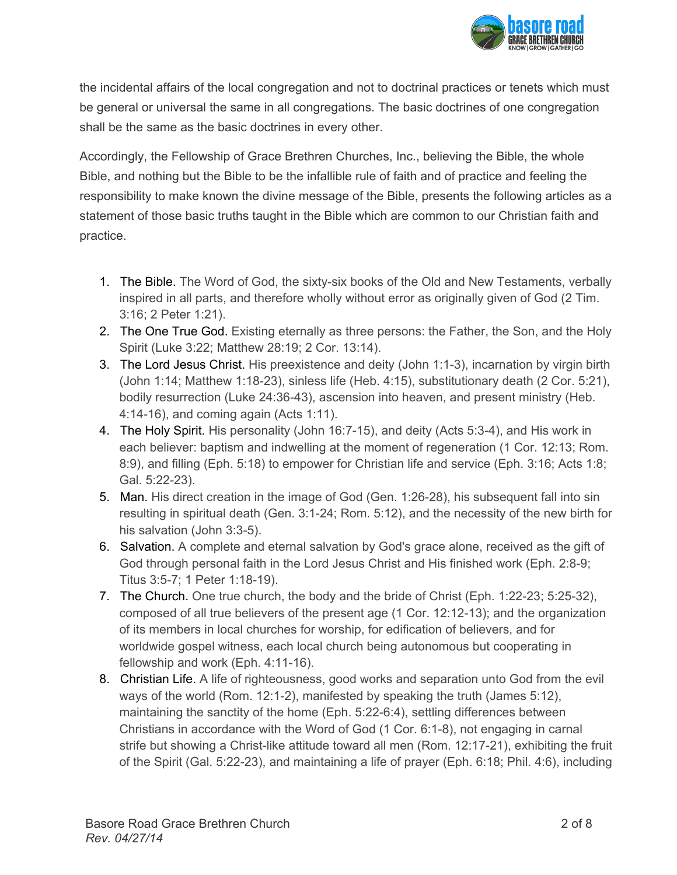

the incidental affairs of the local congregation and not to doctrinal practices or tenets which must be general or universal the same in all congregations. The basic doctrines of one congregation shall be the same as the basic doctrines in every other.

Accordingly, the Fellowship of Grace Brethren Churches, Inc., believing the Bible, the whole Bible, and nothing but the Bible to be the infallible rule of faith and of practice and feeling the responsibility to make known the divine message of the Bible, presents the following articles as a statement of those basic truths taught in the Bible which are common to our Christian faith and practice.

- 1. The Bible. The Word of God, the sixty-six books of the Old and New Testaments, verbally inspired in all parts, and therefore wholly without error as originally given of God (2 Tim. 3:16; 2 Peter 1:21).
- 2. The One True God. Existing eternally as three persons: the Father, the Son, and the Holy Spirit (Luke 3:22; Matthew 28:19; 2 Cor. 13:14).
- 3. The Lord Jesus Christ. His preexistence and deity (John 1:1-3), incarnation by virgin birth (John 1:14; Matthew 1:1823), sinless life (Heb. 4:15), substitutionary death (2 Cor. 5:21), bodily resurrection (Luke 24:36-43), ascension into heaven, and present ministry (Heb. 4:1416), and coming again (Acts 1:11).
- 4. The Holy Spirit. His personality (John 16:7-15), and deity (Acts 5:3-4), and His work in each believer: baptism and indwelling at the moment of regeneration (1 Cor. 12:13; Rom. 8:9), and filling (Eph. 5:18) to empower for Christian life and service (Eph. 3:16; Acts 1:8; Gal. 5:22-23).
- 5. Man. His direct creation in the image of God (Gen. 1:26-28), his subsequent fall into sin resulting in spiritual death (Gen. 3:1-24; Rom. 5:12), and the necessity of the new birth for his salvation (John 3:3-5).
- 6. Salvation. A complete and eternal salvation by God's grace alone, received as the gift of God through personal faith in the Lord Jesus Christ and His finished work (Eph. 2:8-9; Titus 3:5-7; 1 Peter 1:18-19).
- 7. The Church. One true church, the body and the bride of Christ (Eph. 1:22-23; 5:25-32), composed of all true believers of the present age (1 Cor. 12:12-13); and the organization of its members in local churches for worship, for edification of believers, and for worldwide gospel witness, each local church being autonomous but cooperating in fellowship and work (Eph.  $4:11-16$ ).
- 8. Christian Life. A life of righteousness, good works and separation unto God from the evil ways of the world (Rom. 12:1-2), manifested by speaking the truth (James 5:12), maintaining the sanctity of the home (Eph. 5:22-6:4), settling differences between Christians in accordance with the Word of God (1 Cor. 6:1-8), not engaging in carnal strife but showing a Christ-like attitude toward all men (Rom. 12:17-21), exhibiting the fruit of the Spirit (Gal. 5:22-23), and maintaining a life of prayer (Eph. 6:18; Phil. 4:6), including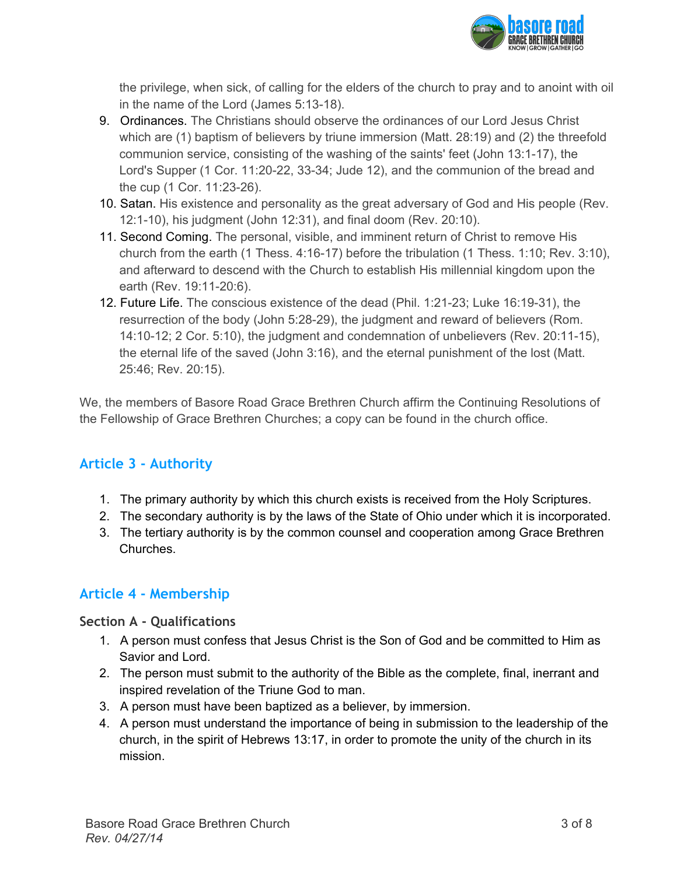

the privilege, when sick, of calling for the elders of the church to pray and to anoint with oil in the name of the Lord (James 5:13-18).

- 9. Ordinances. The Christians should observe the ordinances of our Lord Jesus Christ which are (1) baptism of believers by triune immersion (Matt. 28:19) and (2) the threefold communion service, consisting of the washing of the saints' feet (John 13:1-17), the Lord's Supper (1 Cor. 11:20-22, 33-34; Jude 12), and the communion of the bread and the cup  $(1$  Cor.  $11:23-26$ ).
- 10. Satan. His existence and personality as the great adversary of God and His people (Rev. 12:1-10), his judgment (John 12:31), and final doom (Rev. 20:10).
- 11. Second Coming. The personal, visible, and imminent return of Christ to remove His church from the earth  $(1$  Thess. 4:16-17) before the tribulation  $(1$  Thess. 1:10; Rev. 3:10), and afterward to descend with the Church to establish His millennial kingdom upon the earth (Rev. 19:11-20:6).
- 12. Future Life. The conscious existence of the dead (Phil. 1:21-23; Luke 16:19-31), the resurrection of the body (John 5:28-29), the judgment and reward of believers (Rom.  $14:10-12$ ; 2 Cor. 5:10), the judgment and condemnation of unbelievers (Rev. 20:11-15), the eternal life of the saved (John 3:16), and the eternal punishment of the lost (Matt. 25:46; Rev. 20:15).

We, the members of Basore Road Grace Brethren Church affirm the Continuing Resolutions of the Fellowship of Grace Brethren Churches; a copy can be found in the church office.

# **Article 3 - Authority**

- 1. The primary authority by which this church exists is received from the Holy Scriptures.
- 2. The secondary authority is by the laws of the State of Ohio under which it is incorporated.
- 3. The tertiary authority is by the common counsel and cooperation among Grace Brethren Churches.

# **Article 4 - Membership**

**Section A - Qualifications**

- 1. A person must confess that Jesus Christ is the Son of God and be committed to Him as Savior and Lord.
- 2. The person must submit to the authority of the Bible as the complete, final, inerrant and inspired revelation of the Triune God to man.
- 3. A person must have been baptized as a believer, by immersion.
- 4. A person must understand the importance of being in submission to the leadership of the church, in the spirit of Hebrews 13:17, in order to promote the unity of the church in its mission.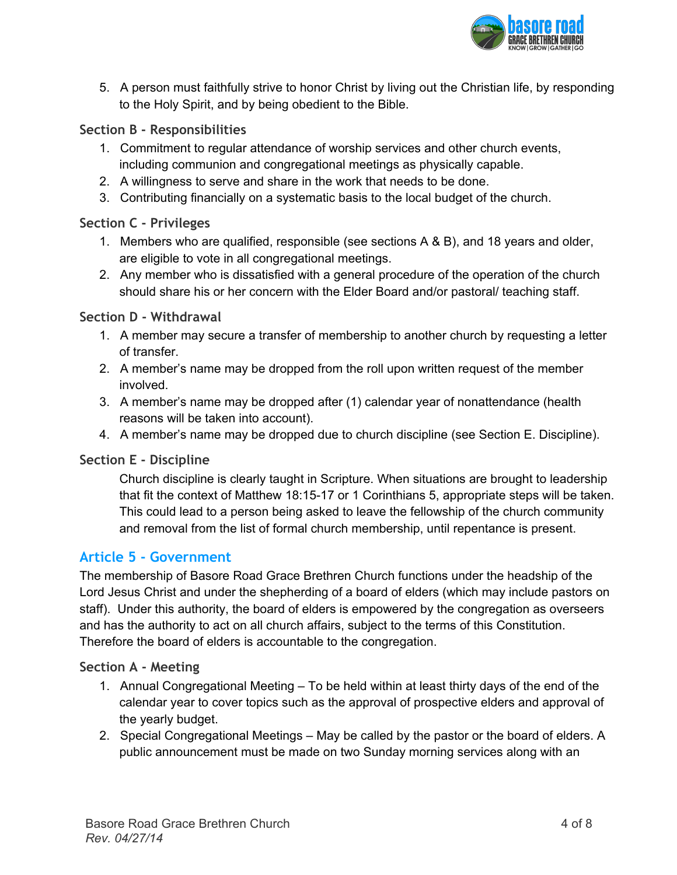

5. A person must faithfully strive to honor Christ by living out the Christian life, by responding to the Holy Spirit, and by being obedient to the Bible.

## **Section B - Responsibilities**

- 1. Commitment to regular attendance of worship services and other church events, including communion and congregational meetings as physically capable.
- 2. A willingness to serve and share in the work that needs to be done.
- 3. Contributing financially on a systematic basis to the local budget of the church.

#### **Section C - Privileges**

- 1. Members who are qualified, responsible (see sections A & B), and 18 years and older, are eligible to vote in all congregational meetings.
- 2. Any member who is dissatisfied with a general procedure of the operation of the church should share his or her concern with the Elder Board and/or pastoral/ teaching staff.

#### **Section D - Withdrawal**

- 1. A member may secure a transfer of membership to another church by requesting a letter of transfer.
- 2. A member's name may be dropped from the roll upon written request of the member involved.
- 3. A member's name may be dropped after (1) calendar year of nonattendance (health reasons will be taken into account).
- 4. A member's name may be dropped due to church discipline (see Section E. Discipline).

## **Section E - Discipline**

Church discipline is clearly taught in Scripture. When situations are brought to leadership that fit the context of Matthew 18:15-17 or 1 Corinthians 5, appropriate steps will be taken. This could lead to a person being asked to leave the fellowship of the church community and removal from the list of formal church membership, until repentance is present.

## **Article 5 - Government**

The membership of Basore Road Grace Brethren Church functions under the headship of the Lord Jesus Christ and under the shepherding of a board of elders (which may include pastors on staff). Under this authority, the board of elders is empowered by the congregation as overseers and has the authority to act on all church affairs, subject to the terms of this Constitution. Therefore the board of elders is accountable to the congregation.

#### **Section A - Meeting**

- 1. Annual Congregational Meeting To be held within at least thirty days of the end of the calendar year to cover topics such as the approval of prospective elders and approval of the yearly budget.
- 2. Special Congregational Meetings May be called by the pastor or the board of elders. A public announcement must be made on two Sunday morning services along with an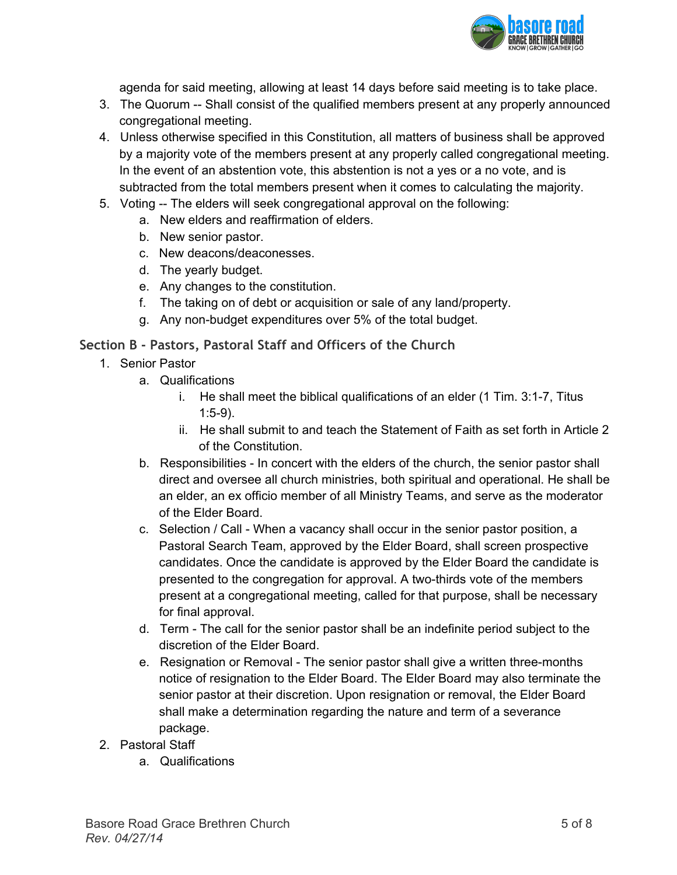

agenda for said meeting, allowing at least 14 days before said meeting is to take place.

- 3. The Quorum -- Shall consist of the qualified members present at any properly announced congregational meeting.
- 4. Unless otherwise specified in this Constitution, all matters of business shall be approved by a majority vote of the members present at any properly called congregational meeting. In the event of an abstention vote, this abstention is not a yes or a no vote, and is subtracted from the total members present when it comes to calculating the majority.
- 5. Voting -- The elders will seek congregational approval on the following:
	- a. New elders and reaffirmation of elders.
	- b. New senior pastor.
	- c. New deacons/deaconesses.
	- d. The yearly budget.
	- e. Any changes to the constitution.
	- f. The taking on of debt or acquisition or sale of any land/property.
	- g. Any non-budget expenditures over 5% of the total budget.

### **Section B - Pastors, Pastoral Staff and Officers of the Church**

- 1. Senior Pastor
	- a. Qualifications
		- i. He shall meet the biblical qualifications of an elder (1 Tim. 3:1-7, Titus  $1:5-9$ ).
		- ii. He shall submit to and teach the Statement of Faith as set forth in Article 2 of the Constitution.
	- b. Responsibilities In concert with the elders of the church, the senior pastor shall direct and oversee all church ministries, both spiritual and operational. He shall be an elder, an ex officio member of all Ministry Teams, and serve as the moderator of the Elder Board.
	- c. Selection / Call When a vacancy shall occur in the senior pastor position, a Pastoral Search Team, approved by the Elder Board, shall screen prospective candidates. Once the candidate is approved by the Elder Board the candidate is presented to the congregation for approval. A two-thirds vote of the members present at a congregational meeting, called for that purpose, shall be necessary for final approval.
	- d. Term The call for the senior pastor shall be an indefinite period subject to the discretion of the Elder Board.
	- e. Resignation or Removal The senior pastor shall give a written three-months notice of resignation to the Elder Board. The Elder Board may also terminate the senior pastor at their discretion. Upon resignation or removal, the Elder Board shall make a determination regarding the nature and term of a severance package.
- 2. Pastoral Staff
	- a. Qualifications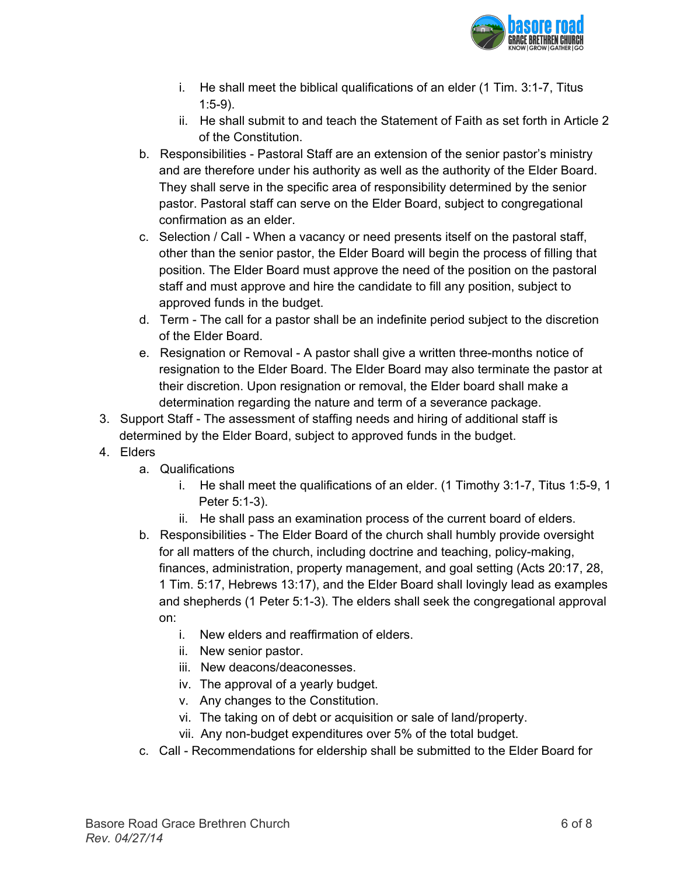

- i. He shall meet the biblical qualifications of an elder  $(1 \text{ Tim. } 3:1-7, \text{ Titus})$  $1:5-9$ ).
- ii. He shall submit to and teach the Statement of Faith as set forth in Article 2 of the Constitution.
- b. Responsibilities Pastoral Staff are an extension of the senior pastor's ministry and are therefore under his authority as well as the authority of the Elder Board. They shall serve in the specific area of responsibility determined by the senior pastor. Pastoral staff can serve on the Elder Board, subject to congregational confirmation as an elder.
- c. Selection / Call When a vacancy or need presents itself on the pastoral staff, other than the senior pastor, the Elder Board will begin the process of filling that position. The Elder Board must approve the need of the position on the pastoral staff and must approve and hire the candidate to fill any position, subject to approved funds in the budget.
- d. Term The call for a pastor shall be an indefinite period subject to the discretion of the Elder Board.
- e. Resignation or Removal A pastor shall give a written three-months notice of resignation to the Elder Board. The Elder Board may also terminate the pastor at their discretion. Upon resignation or removal, the Elder board shall make a determination regarding the nature and term of a severance package.
- 3. Support Staff The assessment of staffing needs and hiring of additional staff is determined by the Elder Board, subject to approved funds in the budget.
- 4. Elders
	- a. Qualifications
		- i. He shall meet the qualifications of an elder. (1 Timothy 3:1-7, Titus 1:5-9, 1 Peter 5:1-3).
		- ii. He shall pass an examination process of the current board of elders.
	- b. Responsibilities The Elder Board of the church shall humbly provide oversight for all matters of the church, including doctrine and teaching, policy-making, finances, administration, property management, and goal setting (Acts 20:17, 28, 1 Tim. 5:17, Hebrews 13:17), and the Elder Board shall lovingly lead as examples and shepherds (1 Peter 5:1-3). The elders shall seek the congregational approval on:
		- i. New elders and reaffirmation of elders.
		- ii. New senior pastor.
		- iii. New deacons/deaconesses.
		- iv. The approval of a yearly budget.
		- v. Any changes to the Constitution.
		- vi. The taking on of debt or acquisition or sale of land/property.
		- vii. Any non-budget expenditures over 5% of the total budget.
	- c. Call Recommendations for eldership shall be submitted to the Elder Board for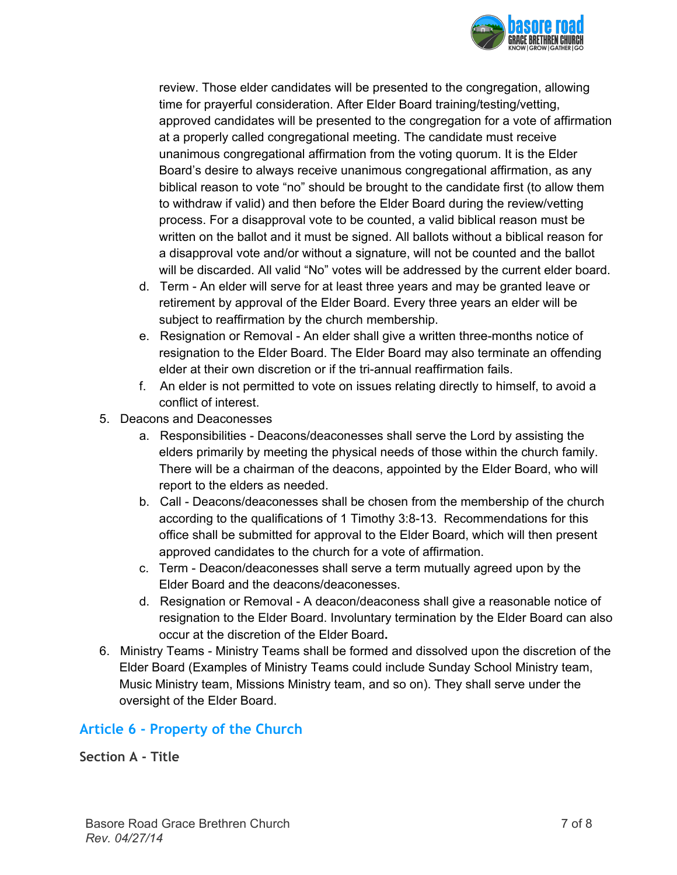

review. Those elder candidates will be presented to the congregation, allowing time for prayerful consideration. After Elder Board training/testing/vetting, approved candidates will be presented to the congregation for a vote of affirmation at a properly called congregational meeting. The candidate must receive unanimous congregational affirmation from the voting quorum. It is the Elder Board's desire to always receive unanimous congregational affirmation, as any biblical reason to vote "no" should be brought to the candidate first (to allow them to withdraw if valid) and then before the Elder Board during the review/vetting process. For a disapproval vote to be counted, a valid biblical reason must be written on the ballot and it must be signed. All ballots without a biblical reason for a disapproval vote and/or without a signature, will not be counted and the ballot will be discarded. All valid "No" votes will be addressed by the current elder board.

- d. Term An elder will serve for at least three years and may be granted leave or retirement by approval of the Elder Board. Every three years an elder will be subject to reaffirmation by the church membership.
- e. Resignation or Removal An elder shall give a written three-months notice of resignation to the Elder Board. The Elder Board may also terminate an offending elder at their own discretion or if the tri-annual reaffirmation fails.
- f. An elder is not permitted to vote on issues relating directly to himself, to avoid a conflict of interest.
- 5. Deacons and Deaconesses
	- a. Responsibilities Deacons/deaconesses shall serve the Lord by assisting the elders primarily by meeting the physical needs of those within the church family. There will be a chairman of the deacons, appointed by the Elder Board, who will report to the elders as needed.
	- b. Call Deacons/deaconesses shall be chosen from the membership of the church according to the qualifications of 1 Timothy 3:8-13. Recommendations for this office shall be submitted for approval to the Elder Board, which will then present approved candidates to the church for a vote of affirmation.
	- c. Term Deacon/deaconesses shall serve a term mutually agreed upon by the Elder Board and the deacons/deaconesses.
	- d. Resignation or Removal A deacon/deaconess shall give a reasonable notice of resignation to the Elder Board. Involuntary termination by the Elder Board can also occur at the discretion of the Elder Board**.**
- 6. Ministry Teams Ministry Teams shall be formed and dissolved upon the discretion of the Elder Board (Examples of Ministry Teams could include Sunday School Ministry team, Music Ministry team, Missions Ministry team, and so on). They shall serve under the oversight of the Elder Board.

# **Article 6 - Property of the Church**

**Section A - Title**